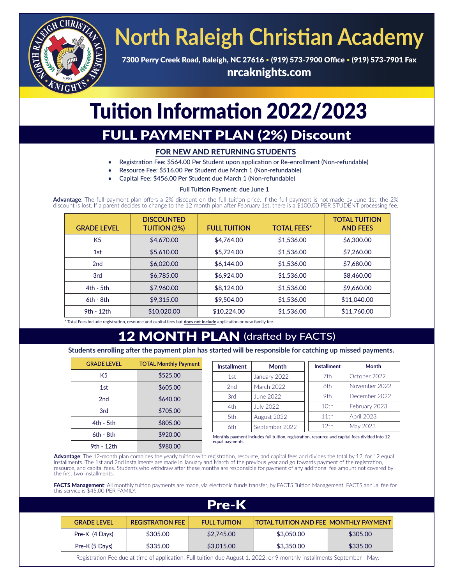

# **North Raleigh Christian Academy**

7300 Perry Creek Road, Raleigh, NC 27616 • (919) 573-7900 Office • (919) 573-7901 Fax nrcaknights.com

## Tuition Information 2022/2023

### FULL PAYMENT PLAN (2%) Discount

#### FOR NEW AND RETURNING STUDENTS

- Registration Fee: \$564.00 Per Student upon application or Re-enrollment (Non-refundable)
- Resource Fee: \$516.00 Per Student due March 1 (Non-refundable)
- Capital Fee: \$456.00 Per Student due March 1 (Non-refundable)

#### **Full Tuition Payment: due June 1**

Advantage: The full payment plan offers a 2% discount on the full tuition price. If the full payment is not made by June 1st, the 2% discount is lost. If a parent decides to change to the 12 month plan after February 1st,

| <b>GRADE LEVEL</b> | <b>DISCOUNTED</b><br><b>TUITION (2%)</b> | <b>FULL TUITION</b> | <b>TOTAL FEES*</b> | <b>TOTAL TUITION</b><br><b>AND FEES</b> |
|--------------------|------------------------------------------|---------------------|--------------------|-----------------------------------------|
| K <sub>5</sub>     | \$4,670.00                               | \$4,764.00          | \$1,536.00         | \$6,300.00                              |
| 1st                | \$5,610.00                               | \$5,724.00          | \$1,536.00         | \$7,260.00                              |
| 2 <sub>nd</sub>    | \$6,020.00                               | \$6,144.00          | \$1,536.00         | \$7,680.00                              |
| 3rd                | \$6,785.00                               | \$6,924.00          | \$1,536.00         | \$8,460.00                              |
| $4th - 5th$        | \$7,960.00                               | \$8,124.00          | \$1,536.00         | \$9,660.00                              |
| $6th - 8th$        | \$9,315.00                               | \$9,504.00          | \$1,536.00         | \$11,040.00                             |
| 9th - 12th         | \$10,020.00                              | \$10,224.00         | \$1,536.00         | \$11,760.00                             |

\* Total Fees include registration, resource and capital fees but **does not include** application or new family fee.

9th - 12th \$980.00

### **MONTH PLAN** (drafted by FACTS)

**Students enrolling after the payment plan has started will be responsible for catching up missed payments.**

| <b>GRADE LEVEL</b> | <b>TOTAL Monthly Payment</b> |                                                                                                | <b>Installment</b> | <b>Month</b>   | <b>Installment</b> | <b>Month</b>      |
|--------------------|------------------------------|------------------------------------------------------------------------------------------------|--------------------|----------------|--------------------|-------------------|
| K <sub>5</sub>     | \$525.00                     |                                                                                                | 1st                | January 2022   | 7th                | October 2022      |
| 1st                | \$605.00                     |                                                                                                | 2nd                | March 2022     | 8th                | November 2022     |
| 2 <sub>nd</sub>    | \$640.00                     |                                                                                                | 3rd                | June 2022      | 9th                | December 2022     |
| 3rd                | \$705.00                     |                                                                                                | 4th                | July 2022      | 10th               | February 2023     |
|                    |                              |                                                                                                | 5th                | August 2022    | 11th               | <b>April 2023</b> |
| 4th - 5th          | \$805.00                     |                                                                                                | 6th                | September 2022 | 12th               | May 2023          |
| $6th - 8th$        | \$920.00                     | Monthly payment includes full tuition, registration, resource and capital fees divided into 12 |                    |                |                    |                   |
|                    |                              |                                                                                                | equal payments.    |                |                    |                   |

**Advantage**: The 12-month plan combines the yearly tuition with registration, resource, and capital fees and divides the total by 12, for 12 equal installments. The 1st and 2nd installments are made in January and March of the previous year and go towards payment of the registration, resource, and capital fees. Students who withdraw after these months are responsible for payment of any additional fee amount not covered by the first two installments.

**FACTS Management**: All monthly tuition payments are made, via electronic funds transfer, by FACTS Tuition Management. FACTS annual fee for this service is \$45.00 PER FAMILY.

| <b>Pre-K</b>       |                         |                     |                                              |          |  |
|--------------------|-------------------------|---------------------|----------------------------------------------|----------|--|
| <b>GRADE LEVEL</b> | <b>REGISTRATION FEE</b> | <b>FULL TUITION</b> | <b>TOTAL TUITION AND FEE MONTHLY PAYMENT</b> |          |  |
| Pre-K (4 Days)     | \$305.00                | \$2,745.00          | \$3,050.00                                   | \$305.00 |  |
| Pre-K (5 Days)     | \$335.00                | \$3,015.00          | \$3,350.00                                   | \$335.00 |  |

Registration Fee due at time of application. Full tuition due August 1, 2022, or 9 monthly installments September - May. ֦